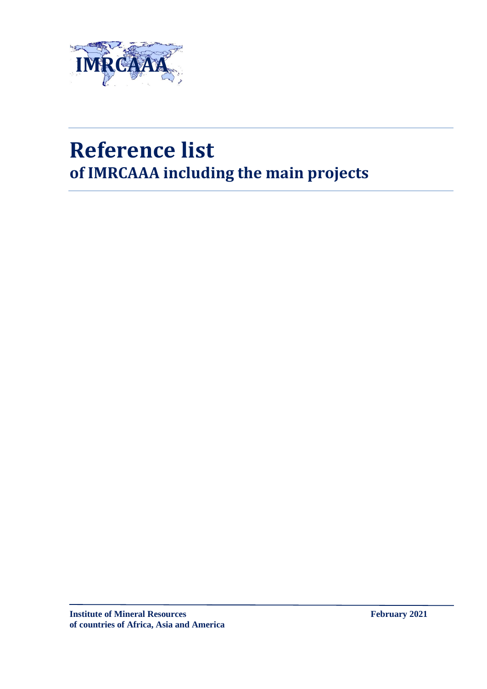

## **Reference list of IMRCAAA including the main projects**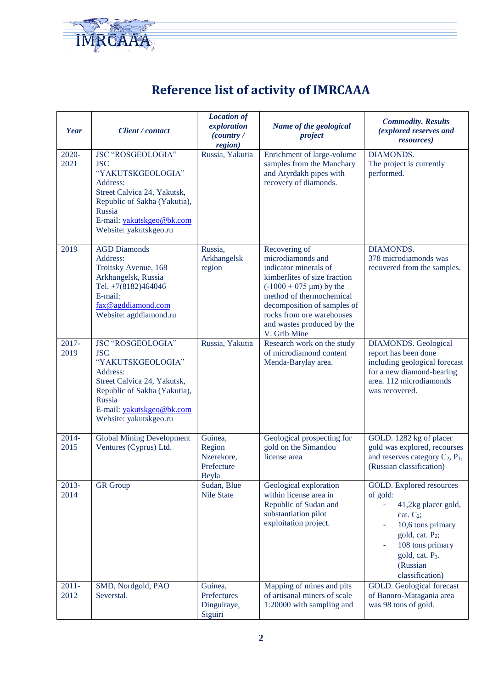

## **Reference list of activity of IMRCAAA**

| <b>Year</b>      | Client / contact                                                                                                                                                                                        | <b>Location of</b><br>exploration<br>(country /<br>region) | Name of the geological<br>project                                                                                                                                                                                                                                      | <b>Commodity. Results</b><br>(explored reserves and<br><i>resources</i> )                                                                                                                                         |
|------------------|---------------------------------------------------------------------------------------------------------------------------------------------------------------------------------------------------------|------------------------------------------------------------|------------------------------------------------------------------------------------------------------------------------------------------------------------------------------------------------------------------------------------------------------------------------|-------------------------------------------------------------------------------------------------------------------------------------------------------------------------------------------------------------------|
| $2020 -$<br>2021 | <b>JSC "ROSGEOLOGIA"</b><br><b>JSC</b><br>"YAKUTSKGEOLOGIA"<br>Address:<br>Street Calvica 24, Yakutsk,<br>Republic of Sakha (Yakutia),<br>Russia<br>E-mail: yakutskgeo@bk.com<br>Website: yakutskgeo.ru | Russia, Yakutia                                            | Enrichment of large-volume<br>samples from the Manchary<br>and Atyrdakh pipes with<br>recovery of diamonds.                                                                                                                                                            | <b>DIAMONDS.</b><br>The project is currently<br>performed.                                                                                                                                                        |
| 2019             | <b>AGD Diamonds</b><br>Address:<br>Troitsky Avenue, 168<br>Arkhangelsk, Russia<br>Tel. +7(8182)464046<br>E-mail:<br>fax@agddiamond.com<br>Website: agddiamond.ru                                        | Russia,<br>Arkhangelsk<br>region                           | Recovering of<br>microdiamonds and<br>indicator minerals of<br>kimberlites of size fraction<br>$(-1000 + 075 \text{ µm})$ by the<br>method of thermochemical<br>decomposition of samples of<br>rocks from ore warehouses<br>and wastes produced by the<br>V. Grib Mine | <b>DIAMONDS.</b><br>378 microdiamonds was<br>recovered from the samples.                                                                                                                                          |
| $2017 -$<br>2019 | JSC "ROSGEOLOGIA"<br><b>JSC</b><br>"YAKUTSKGEOLOGIA"<br>Address:<br>Street Calvica 24, Yakutsk,<br>Republic of Sakha (Yakutia),<br>Russia<br>E-mail: yakutskgeo@bk.com<br>Website: yakutskgeo.ru        | Russia, Yakutia                                            | Research work on the study<br>of microdiamond content<br>Menda-Barylay area.                                                                                                                                                                                           | <b>DIAMONDS</b> . Geological<br>report has been done<br>including geological forecast<br>for a new diamond-bearing<br>area. 112 microdiamonds<br>was recovered.                                                   |
| $2014 -$<br>2015 | <b>Global Mining Development</b><br>Ventures (Cyprus) Ltd.                                                                                                                                              | Guinea,<br>Region<br>Nzerekore,<br>Prefecture<br>Beyla     | Geological prospecting for<br>gold on the Simandou<br>license area                                                                                                                                                                                                     | GOLD. 1282 kg of placer<br>gold was explored, recourses<br>and reserves category $C_2$ , $P_1$ ,<br>(Russian classification)                                                                                      |
| 2013-<br>2014    | <b>GR</b> Group                                                                                                                                                                                         | Sudan, Blue<br><b>Nile State</b>                           | Geological exploration<br>within license area in<br>Republic of Sudan and<br>substantiation pilot<br>exploitation project.                                                                                                                                             | GOLD. Explored resources<br>of gold:<br>41,2kg placer gold,<br>cat. $C_2$ ;<br>10,6 tons primary<br>gold, cat. P <sub>2</sub> ;<br>108 tons primary<br>gold, cat. P <sub>3</sub> .<br>(Russian<br>classification) |
| $2011 -$<br>2012 | SMD, Nordgold, PAO<br>Severstal.                                                                                                                                                                        | Guinea,<br>Prefectures<br>Dinguiraye,<br>Siguiri           | Mapping of mines and pits<br>of artisanal miners of scale<br>1:20000 with sampling and                                                                                                                                                                                 | <b>GOLD</b> . Geological forecast<br>of Banoro-Matagania area<br>was 98 tons of gold.                                                                                                                             |